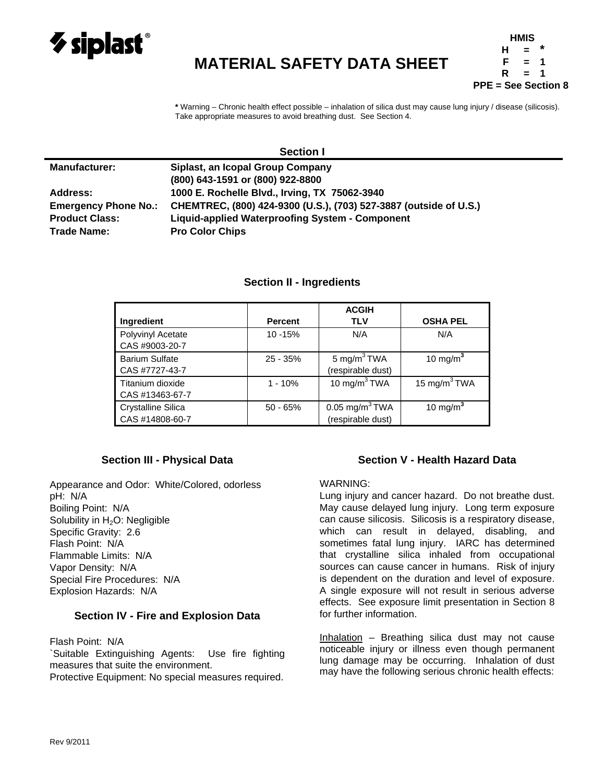

# **MATERIAL SAFETY DATA SHEET**

**HMIS H = \* F = 1 R = 1 PPE = See Section 8** 

**\*** Warning – Chronic health effect possible – inhalation of silica dust may cause lung injury / disease (silicosis). Take appropriate measures to avoid breathing dust. See Section 4.

|                             | <b>JELIUII</b>                                                    |  |
|-----------------------------|-------------------------------------------------------------------|--|
| <b>Manufacturer:</b>        | Siplast, an Icopal Group Company                                  |  |
|                             | (800) 643-1591 or (800) 922-8800                                  |  |
| <b>Address:</b>             | 1000 E. Rochelle Blvd., Irving, TX 75062-3940                     |  |
| <b>Emergency Phone No.:</b> | CHEMTREC, (800) 424-9300 (U.S.), (703) 527-3887 (outside of U.S.) |  |
| <b>Product Class:</b>       | <b>Liquid-applied Waterproofing System - Component</b>            |  |
| <b>Trade Name:</b>          | <b>Pro Color Chips</b>                                            |  |

# **Section II - Ingredients**

**Section I** 

|                       |                | <b>ACGIH</b>                 |                 |
|-----------------------|----------------|------------------------------|-----------------|
| <b>Ingredient</b>     | <b>Percent</b> | <b>TLV</b>                   | <b>OSHA PEL</b> |
| Polyvinyl Acetate     | 10 - 15%       | N/A                          | N/A             |
| CAS #9003-20-7        |                |                              |                 |
| <b>Barium Sulfate</b> | $25 - 35%$     | 5 mg/m <sup>3</sup> TWA      | 10 mg/m $3$     |
| CAS #7727-43-7        |                | (respirable dust)            |                 |
| Titanium dioxide      | $1 - 10%$      | 10 mg/m $3$ TWA              | 15 mg/m $3$ TWA |
| CAS #13463-67-7       |                |                              |                 |
| Crystalline Silica    | $50 - 65%$     | $0.05$ mg/m <sup>3</sup> TWA | 10 mg/m $3$     |
| CAS #14808-60-7       |                | (respirable dust)            |                 |

## **Section III - Physical Data**

Appearance and Odor: White/Colored, odorless pH: N/A Boiling Point: N/A Solubility in H<sub>2</sub>O: Negligible Specific Gravity: 2.6 Flash Point: N/A Flammable Limits: N/A Vapor Density: N/A Special Fire Procedures: N/A Explosion Hazards: N/A

## **Section IV - Fire and Explosion Data**

Flash Point: N/A

`Suitable Extinguishing Agents: Use fire fighting measures that suite the environment.

Protective Equipment: No special measures required.

## **Section V - Health Hazard Data**

### WARNING:

Lung injury and cancer hazard. Do not breathe dust. May cause delayed lung injury. Long term exposure can cause silicosis. Silicosis is a respiratory disease, which can result in delayed, disabling, and sometimes fatal lung injury. IARC has determined that crystalline silica inhaled from occupational sources can cause cancer in humans. Risk of injury is dependent on the duration and level of exposure. A single exposure will not result in serious adverse effects. See exposure limit presentation in Section 8 for further information.

Inhalation – Breathing silica dust may not cause noticeable injury or illness even though permanent lung damage may be occurring. Inhalation of dust may have the following serious chronic health effects: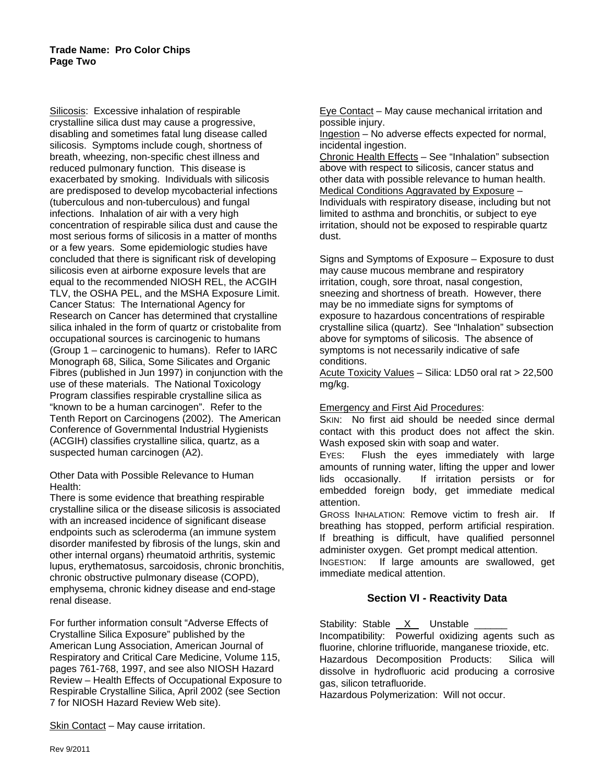Silicosis: Excessive inhalation of respirable crystalline silica dust may cause a progressive, disabling and sometimes fatal lung disease called silicosis. Symptoms include cough, shortness of breath, wheezing, non-specific chest illness and reduced pulmonary function. This disease is exacerbated by smoking. Individuals with silicosis are predisposed to develop mycobacterial infections (tuberculous and non-tuberculous) and fungal infections. Inhalation of air with a very high concentration of respirable silica dust and cause the most serious forms of silicosis in a matter of months or a few years. Some epidemiologic studies have concluded that there is significant risk of developing silicosis even at airborne exposure levels that are equal to the recommended NIOSH REL, the ACGIH TLV, the OSHA PEL, and the MSHA Exposure Limit. Cancer Status: The International Agency for Research on Cancer has determined that crystalline silica inhaled in the form of quartz or cristobalite from occupational sources is carcinogenic to humans (Group 1 – carcinogenic to humans). Refer to IARC Monograph 68, Silica, Some Silicates and Organic Fibres (published in Jun 1997) in conjunction with the use of these materials. The National Toxicology Program classifies respirable crystalline silica as "known to be a human carcinogen". Refer to the Tenth Report on Carcinogens (2002). The American Conference of Governmental Industrial Hygienists (ACGIH) classifies crystalline silica, quartz, as a suspected human carcinogen (A2).

Other Data with Possible Relevance to Human Health:

There is some evidence that breathing respirable crystalline silica or the disease silicosis is associated with an increased incidence of significant disease endpoints such as scleroderma (an immune system disorder manifested by fibrosis of the lungs, skin and other internal organs) rheumatoid arthritis, systemic lupus, erythematosus, sarcoidosis, chronic bronchitis, chronic obstructive pulmonary disease (COPD), emphysema, chronic kidney disease and end-stage renal disease.

For further information consult "Adverse Effects of Crystalline Silica Exposure" published by the American Lung Association, American Journal of Respiratory and Critical Care Medicine, Volume 115, pages 761-768, 1997, and see also NIOSH Hazard Review – Health Effects of Occupational Exposure to Respirable Crystalline Silica, April 2002 (see Section 7 for NIOSH Hazard Review Web site).

Skin Contact – May cause irritation.

Eye Contact – May cause mechanical irritation and possible injury.

Ingestion – No adverse effects expected for normal, incidental ingestion.

Chronic Health Effects - See "Inhalation" subsection above with respect to silicosis, cancer status and other data with possible relevance to human health. Medical Conditions Aggravated by Exposure – Individuals with respiratory disease, including but not limited to asthma and bronchitis, or subject to eye irritation, should not be exposed to respirable quartz dust.

Signs and Symptoms of Exposure – Exposure to dust may cause mucous membrane and respiratory irritation, cough, sore throat, nasal congestion, sneezing and shortness of breath. However, there may be no immediate signs for symptoms of exposure to hazardous concentrations of respirable crystalline silica (quartz). See "Inhalation" subsection above for symptoms of silicosis. The absence of symptoms is not necessarily indicative of safe conditions.

Acute Toxicity Values – Silica: LD50 oral rat > 22,500 mg/kg.

### Emergency and First Aid Procedures:

SKIN: No first aid should be needed since dermal contact with this product does not affect the skin. Wash exposed skin with soap and water.

EYES: Flush the eyes immediately with large amounts of running water, lifting the upper and lower lids occasionally. If irritation persists or for embedded foreign body, get immediate medical attention.

GROSS INHALATION: Remove victim to fresh air. If breathing has stopped, perform artificial respiration. If breathing is difficult, have qualified personnel administer oxygen. Get prompt medical attention.

INGESTION: If large amounts are swallowed, get immediate medical attention.

# **Section VI - Reactivity Data**

Stability: Stable  $X$  Unstable \_ Incompatibility: Powerful oxidizing agents such as fluorine, chlorine trifluoride, manganese trioxide, etc. Hazardous Decomposition Products: Silica will dissolve in hydrofluoric acid producing a corrosive gas, silicon tetrafluoride.

Hazardous Polymerization: Will not occur.